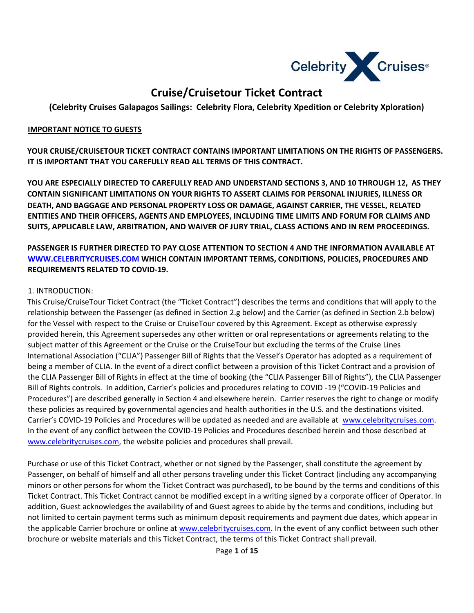

# **Cruise/Cruisetour Ticket Contract**

**(Celebrity Cruises Galapagos Sailings: Celebrity Flora, Celebrity Xpedition or Celebrity Xploration)** 

#### **IMPORTANT NOTICE TO GUESTS**

**YOUR CRUISE/CRUISETOUR TICKET CONTRACT CONTAINS IMPORTANT LIMITATIONS ON THE RIGHTS OF PASSENGERS. IT IS IMPORTANT THAT YOU CAREFULLY READ ALL TERMS OF THIS CONTRACT.** 

**YOU ARE ESPECIALLY DIRECTED TO CAREFULLY READ AND UNDERSTAND SECTIONS 3, AND 10 THROUGH 12, AS THEY CONTAIN SIGNIFICANT LIMITATIONS ON YOUR RIGHTS TO ASSERT CLAIMS FOR PERSONAL INJURIES, ILLNESS OR DEATH, AND BAGGAGE AND PERSONAL PROPERTY LOSS OR DAMAGE, AGAINST CARRIER, THE VESSEL, RELATED ENTITIES AND THEIR OFFICERS, AGENTS AND EMPLOYEES, INCLUDING TIME LIMITS AND FORUM FOR CLAIMS AND SUITS, APPLICABLE LAW, ARBITRATION, AND WAIVER OF JURY TRIAL, CLASS ACTIONS AND IN REM PROCEEDINGS.** 

**PASSENGER IS FURTHER DIRECTED TO PAY CLOSE ATTENTION TO SECTION 4 AND THE INFORMATION AVAILABLE AT [WWW.CELEBRITYCRUISES.COM](http://www.celebritycruises.com/) [W](http://www.celebritycruises.com/)HICH CONTAIN IMPORTANT TERMS, CONDITIONS, POLICIES, PROCEDURES AND REQUIREMENTS RELATED TO COVID-19.** 

#### 1. INTRODUCTION:

This Cruise/CruiseTour Ticket Contract (the "Ticket Contract") describes the terms and conditions that will apply to the relationship between the Passenger (as defined in Section 2.g below) and the Carrier (as defined in Section 2.b below) for the Vessel with respect to the Cruise or CruiseTour covered by this Agreement. Except as otherwise expressly provided herein, this Agreement supersedes any other written or oral representations or agreements relating to the subject matter of this Agreement or the Cruise or the CruiseTour but excluding the terms of the Cruise Lines International Association ("CLIA") Passenger Bill of Rights that the Vessel's Operator has adopted as a requirement of being a member of CLIA. In the event of a direct conflict between a provision of this Ticket Contract and a provision of the CLIA Passenger Bill of Rights in effect at the time of booking (the "CLIA Passenger Bill of Rights"), the CLIA Passenger Bill of Rights controls. In addition, Carrier's policies and procedures relating to COVID -19 ("COVID-19 Policies and Procedures") are described generally in Section 4 and elsewhere herein. Carrier reserves the right to change or modify these policies as required by governmental agencies and health authorities in the U.S. and the destinations visited. Carrier's COVID-19 Policies and Procedures will be updated as needed and are available at [www.celebritycruises.com](http://www.celebritycruises.com/)[.](http://www.royalcaribbean.com/)  In the event of any conflict between the COVID-19 Policies and Procedures described herein and those described at [www.celebritycruises.com](http://www.celebritycruises.com/)[,](http://www.royalcaribbean.com/COVID) the website policies and procedures shall prevail.

Purchase or use of this Ticket Contract, whether or not signed by the Passenger, shall constitute the agreement by Passenger, on behalf of himself and all other persons traveling under this Ticket Contract (including any accompanying minors or other persons for whom the Ticket Contract was purchased), to be bound by the terms and conditions of this Ticket Contract. This Ticket Contract cannot be modified except in a writing signed by a corporate officer of Operator. In addition, Guest acknowledges the availability of and Guest agrees to abide by the terms and conditions, including but not limited to certain payment terms such as minimum deposit requirements and payment due dates, which appear in the applicable Carrier brochure or online at [www.celebritycruises.com](http://www.celebritycruises.com/)[.](http://www.royalcaribbean.com/) In the event of any conflict between such other brochure or website materials and this Ticket Contract, the terms of this Ticket Contract shall prevail.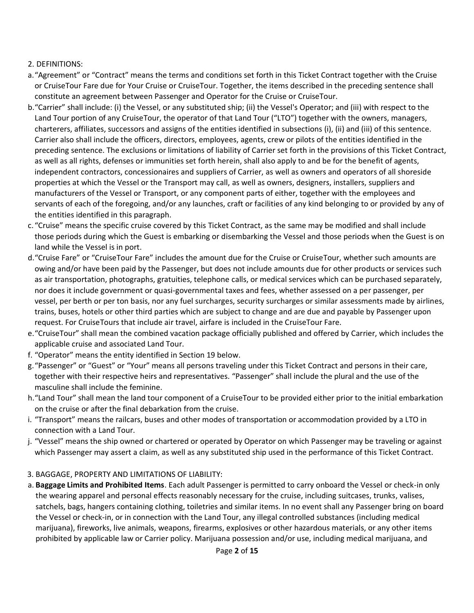# 2. DEFINITIONS:

- a."Agreement" or "Contract" means the terms and conditions set forth in this Ticket Contract together with the Cruise or CruiseTour Fare due for Your Cruise or CruiseTour. Together, the items described in the preceding sentence shall constitute an agreement between Passenger and Operator for the Cruise or CruiseTour.
- b."Carrier" shall include: (i) the Vessel, or any substituted ship; (ii) the Vessel's Operator; and (iii) with respect to the Land Tour portion of any CruiseTour, the operator of that Land Tour ("LTO") together with the owners, managers, charterers, affiliates, successors and assigns of the entities identified in subsections (i), (ii) and (iii) of this sentence. Carrier also shall include the officers, directors, employees, agents, crew or pilots of the entities identified in the preceding sentence. The exclusions or limitations of liability of Carrier set forth in the provisions of this Ticket Contract, as well as all rights, defenses or immunities set forth herein, shall also apply to and be for the benefit of agents, independent contractors, concessionaires and suppliers of Carrier, as well as owners and operators of all shoreside properties at which the Vessel or the Transport may call, as well as owners, designers, installers, suppliers and manufacturers of the Vessel or Transport, or any component parts of either, together with the employees and servants of each of the foregoing, and/or any launches, craft or facilities of any kind belonging to or provided by any of the entities identified in this paragraph.
- c. "Cruise" means the specific cruise covered by this Ticket Contract, as the same may be modified and shall include those periods during which the Guest is embarking or disembarking the Vessel and those periods when the Guest is on land while the Vessel is in port.
- d."Cruise Fare" or "CruiseTour Fare" includes the amount due for the Cruise or CruiseTour, whether such amounts are owing and/or have been paid by the Passenger, but does not include amounts due for other products or services such as air transportation, photographs, gratuities, telephone calls, or medical services which can be purchased separately, nor does it include government or quasi-governmental taxes and fees, whether assessed on a per passenger, per vessel, per berth or per ton basis, nor any fuel surcharges, security surcharges or similar assessments made by airlines, trains, buses, hotels or other third parties which are subject to change and are due and payable by Passenger upon request. For CruiseTours that include air travel, airfare is included in the CruiseTour Fare.
- e."CruiseTour" shall mean the combined vacation package officially published and offered by Carrier, which includes the applicable cruise and associated Land Tour.
- f. "Operator" means the entity identified in Section 19 below.
- g."Passenger" or "Guest" or "Your" means all persons traveling under this Ticket Contract and persons in their care, together with their respective heirs and representatives. "Passenger" shall include the plural and the use of the masculine shall include the feminine.
- h."Land Tour" shall mean the land tour component of a CruiseTour to be provided either prior to the initial embarkation on the cruise or after the final debarkation from the cruise.
- i. "Transport" means the railcars, buses and other modes of transportation or accommodation provided by a LTO in connection with a Land Tour.
- j. "Vessel" means the ship owned or chartered or operated by Operator on which Passenger may be traveling or against which Passenger may assert a claim, as well as any substituted ship used in the performance of this Ticket Contract.
- 3. BAGGAGE, PROPERTY AND LIMITATIONS OF LIABILITY:
- a. **Baggage Limits and Prohibited Items**. Each adult Passenger is permitted to carry onboard the Vessel or check-in only the wearing apparel and personal effects reasonably necessary for the cruise, including suitcases, trunks, valises, satchels, bags, hangers containing clothing, toiletries and similar items. In no event shall any Passenger bring on board the Vessel or check-in, or in connection with the Land Tour, any illegal controlled substances (including medical marijuana), fireworks, live animals, weapons, firearms, explosives or other hazardous materials, or any other items prohibited by applicable law or Carrier policy. Marijuana possession and/or use, including medical marijuana, and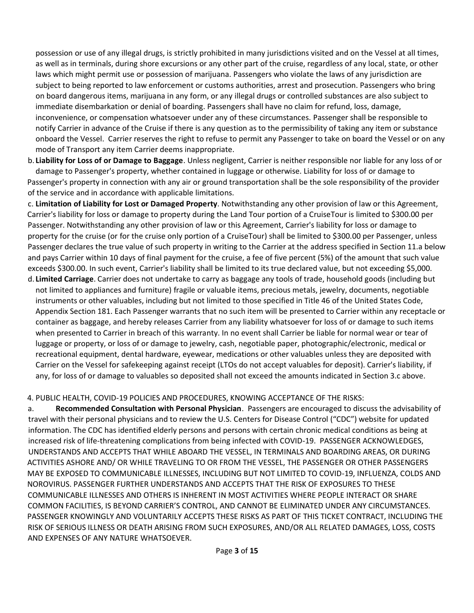possession or use of any illegal drugs, is strictly prohibited in many jurisdictions visited and on the Vessel at all times, as well as in terminals, during shore excursions or any other part of the cruise, regardless of any local, state, or other laws which might permit use or possession of marijuana. Passengers who violate the laws of any jurisdiction are subject to being reported to law enforcement or customs authorities, arrest and prosecution. Passengers who bring on board dangerous items, marijuana in any form, or any illegal drugs or controlled substances are also subject to immediate disembarkation or denial of boarding. Passengers shall have no claim for refund, loss, damage, inconvenience, or compensation whatsoever under any of these circumstances. Passenger shall be responsible to notify Carrier in advance of the Cruise if there is any question as to the permissibility of taking any item or substance onboard the Vessel. Carrier reserves the right to refuse to permit any Passenger to take on board the Vessel or on any mode of Transport any item Carrier deems inappropriate.

b. **Liability for Loss of or Damage to Baggage**. Unless negligent, Carrier is neither responsible nor liable for any loss of or damage to Passenger's property, whether contained in luggage or otherwise. Liability for loss of or damage to Passenger's property in connection with any air or ground transportation shall be the sole responsibility of the provider of the service and in accordance with applicable limitations.

c. **Limitation of Liability for Lost or Damaged Property**. Notwithstanding any other provision of law or this Agreement, Carrier's liability for loss or damage to property during the Land Tour portion of a CruiseTour is limited to \$300.00 per Passenger. Notwithstanding any other provision of law or this Agreement, Carrier's liability for loss or damage to property for the cruise (or for the cruise only portion of a CruiseTour) shall be limited to \$300.00 per Passenger, unless Passenger declares the true value of such property in writing to the Carrier at the address specified in Section 11.a below and pays Carrier within 10 days of final payment for the cruise, a fee of five percent (5%) of the amount that such value exceeds \$300.00. In such event, Carrier's liability shall be limited to its true declared value, but not exceeding \$5,000.

d. **Limited Carriage**. Carrier does not undertake to carry as baggage any tools of trade, household goods (including but not limited to appliances and furniture) fragile or valuable items, precious metals, jewelry, documents, negotiable instruments or other valuables, including but not limited to those specified in Title 46 of the United States Code, Appendix Section 181. Each Passenger warrants that no such item will be presented to Carrier within any receptacle or container as baggage, and hereby releases Carrier from any liability whatsoever for loss of or damage to such items when presented to Carrier in breach of this warranty. In no event shall Carrier be liable for normal wear or tear of luggage or property, or loss of or damage to jewelry, cash, negotiable paper, photographic/electronic, medical or recreational equipment, dental hardware, eyewear, medications or other valuables unless they are deposited with Carrier on the Vessel for safekeeping against receipt (LTOs do not accept valuables for deposit). Carrier's liability, if any, for loss of or damage to valuables so deposited shall not exceed the amounts indicated in Section 3.c above.

# 4. PUBLIC HEALTH, COVID-19 POLICIES AND PROCEDURES, KNOWING ACCEPTANCE OF THE RISKS:

a. **Recommended Consultation with Personal Physician**. Passengers are encouraged to discuss the advisability of travel with their personal physicians and to review the U.S. Centers for Disease Control ("CDC") website for updated information. The CDC has identified elderly persons and persons with certain chronic medical conditions as being at increased risk of life-threatening complications from being infected with COVID-19. PASSENGER ACKNOWLEDGES, UNDERSTANDS AND ACCEPTS THAT WHILE ABOARD THE VESSEL, IN TERMINALS AND BOARDING AREAS, OR DURING ACTIVITIES ASHORE AND/ OR WHILE TRAVELING TO OR FROM THE VESSEL, THE PASSENGER OR OTHER PASSENGERS MAY BE EXPOSED TO COMMUNICABLE ILLNESSES, INCLUDING BUT NOT LIMITED TO COVID-19, INFLUENZA, COLDS AND NOROVIRUS. PASSENGER FURTHER UNDERSTANDS AND ACCEPTS THAT THE RISK OF EXPOSURES TO THESE COMMUNICABLE ILLNESSES AND OTHERS IS INHERENT IN MOST ACTIVITIES WHERE PEOPLE INTERACT OR SHARE COMMON FACILITIES, IS BEYOND CARRIER'S CONTROL, AND CANNOT BE ELIMINATED UNDER ANY CIRCUMSTANCES. PASSENGER KNOWINGLY AND VOLUNTARILY ACCEPTS THESE RISKS AS PART OF THIS TICKET CONTRACT, INCLUDING THE RISK OF SERIOUS ILLNESS OR DEATH ARISING FROM SUCH EXPOSURES, AND/OR ALL RELATED DAMAGES, LOSS, COSTS AND EXPENSES OF ANY NATURE WHATSOEVER.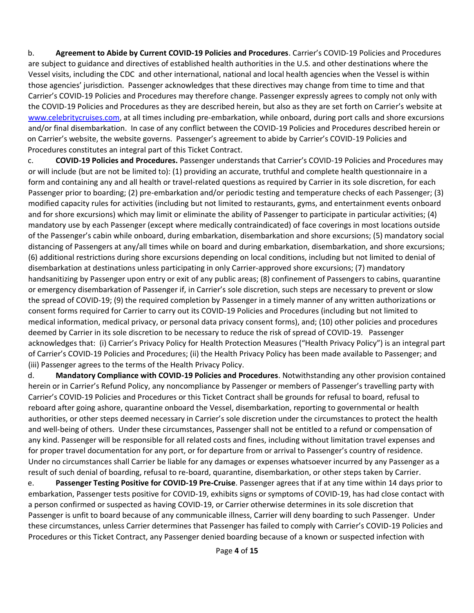b. **Agreement to Abide by Current COVID-19 Policies and Procedures**. Carrier's COVID-19 Policies and Procedures are subject to guidance and directives of established health authorities in the U.S. and other destinations where the Vessel visits, including the CDC and other international, national and local health agencies when the Vessel is within those agencies' jurisdiction. Passenger acknowledges that these directives may change from time to time and that Carrier's COVID-19 Policies and Procedures may therefore change. Passenger expressly agrees to comply not only with the COVID-19 Policies and Procedures as they are described herein, but also as they are set forth on Carrier's website at [www.celebritycruises.com](http://www.celebritycruises.com/)[,](http://www.royalcaribbean.com/) at all times including pre-embarkation, while onboard, during port calls and shore excursions and/or final disembarkation. In case of any conflict between the COVID-19 Policies and Procedures described herein or on Carrier's website, the website governs. Passenger's agreement to abide by Carrier's COVID-19 Policies and Procedures constitutes an integral part of this Ticket Contract.

c. **COVID-19 Policies and Procedures.** Passenger understands that Carrier's COVID-19 Policies and Procedures may or will include (but are not be limited to): (1) providing an accurate, truthful and complete health questionnaire in a form and containing any and all health or travel-related questions as required by Carrier in its sole discretion, for each Passenger prior to boarding; (2) pre-embarkation and/or periodic testing and temperature checks of each Passenger; (3) modified capacity rules for activities (including but not limited to restaurants, gyms, and entertainment events onboard and for shore excursions) which may limit or eliminate the ability of Passenger to participate in particular activities; (4) mandatory use by each Passenger (except where medically contraindicated) of face coverings in most locations outside of the Passenger's cabin while onboard, during embarkation, disembarkation and shore excursions; (5) mandatory social distancing of Passengers at any/all times while on board and during embarkation, disembarkation, and shore excursions; (6) additional restrictions during shore excursions depending on local conditions, including but not limited to denial of disembarkation at destinations unless participating in only Carrier-approved shore excursions; (7) mandatory handsanitizing by Passenger upon entry or exit of any public areas; (8) confinement of Passengers to cabins, quarantine or emergency disembarkation of Passenger if, in Carrier's sole discretion, such steps are necessary to prevent or slow the spread of COVID-19; (9) the required completion by Passenger in a timely manner of any written authorizations or consent forms required for Carrier to carry out its COVID-19 Policies and Procedures (including but not limited to medical information, medical privacy, or personal data privacy consent forms), and; (10) other policies and procedures deemed by Carrier in its sole discretion to be necessary to reduce the risk of spread of COVID-19. Passenger acknowledges that: (i) Carrier's Privacy Policy for Health Protection Measures ("Health Privacy Policy") is an integral part of Carrier's COVID-19 Policies and Procedures; (ii) the Health Privacy Policy has been made available to Passenger; and (iii) Passenger agrees to the terms of the Health Privacy Policy.

d. **Mandatory Compliance with COVID-19 Policies and Procedures**. Notwithstanding any other provision contained herein or in Carrier's Refund Policy, any noncompliance by Passenger or members of Passenger's travelling party with Carrier's COVID-19 Policies and Procedures or this Ticket Contract shall be grounds for refusal to board, refusal to reboard after going ashore, quarantine onboard the Vessel, disembarkation, reporting to governmental or health authorities, or other steps deemed necessary in Carrier's sole discretion under the circumstances to protect the health and well-being of others. Under these circumstances, Passenger shall not be entitled to a refund or compensation of any kind. Passenger will be responsible for all related costs and fines, including without limitation travel expenses and for proper travel documentation for any port, or for departure from or arrival to Passenger's country of residence. Under no circumstances shall Carrier be liable for any damages or expenses whatsoever incurred by any Passenger as a result of such denial of boarding, refusal to re-board, quarantine, disembarkation, or other steps taken by Carrier.

e. **Passenger Testing Positive for COVID-19 Pre-Cruise**. Passenger agrees that if at any time within 14 days prior to embarkation, Passenger tests positive for COVID-19, exhibits signs or symptoms of COVID-19, has had close contact with a person confirmed or suspected as having COVID-19, or Carrier otherwise determines in its sole discretion that Passenger is unfit to board because of any communicable illness, Carrier will deny boarding to such Passenger. Under these circumstances, unless Carrier determines that Passenger has failed to comply with Carrier's COVID-19 Policies and Procedures or this Ticket Contract, any Passenger denied boarding because of a known or suspected infection with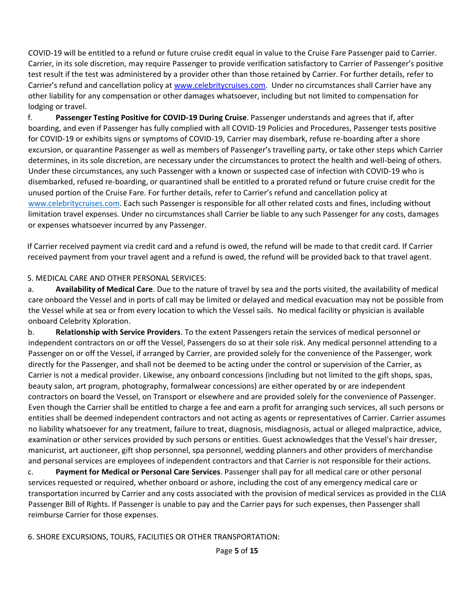COVID-19 will be entitled to a refund or future cruise credit equal in value to the Cruise Fare Passenger paid to Carrier. Carrier, in its sole discretion, may require Passenger to provide verification satisfactory to Carrier of Passenger's positive test result if the test was administered by a provider other than those retained by Carrier. For further details, refer to Carrier's refund and cancellation policy at [www.celebritycruises.com.](https://www.celebritycruises.com/content/dam/celebrity/pdf/cel-covid-19-cancellations-and-refunds-policy.pdf)Under no circumstances shall Carrier have any other liability for any compensation or other damages whatsoever, including but not limited to compensation for lodging or travel.

f. **Passenger Testing Positive for COVID-19 During Cruise**. Passenger understands and agrees that if, after boarding, and even if Passenger has fully complied with all COVID-19 Policies and Procedures, Passenger tests positive for COVID-19 or exhibits signs or symptoms of COVID-19, Carrier may disembark, refuse re-boarding after a shore excursion, or quarantine Passenger as well as members of Passenger's travelling party, or take other steps which Carrier determines, in its sole discretion, are necessary under the circumstances to protect the health and well-being of others. Under these circumstances, any such Passenger with a known or suspected case of infection with COVID-19 who is disembarked, refused re-boarding, or quarantined shall be entitled to a prorated refund or future cruise credit for the unused portion of the Cruise Fare. For further details, refer to Carrier's refund and cancellation policy at [www.celebritycruises.com.](https://www.celebritycruises.com/content/dam/celebrity/pdf/cel-covid-19-cancellations-and-refunds-policy.pdf) Each such Passenger is responsible for all other related costs and fines, including without limitation travel expenses. Under no circumstances shall Carrier be liable to any such Passenger for any costs, damages or expenses whatsoever incurred by any Passenger.

If Carrier received payment via credit card and a refund is owed, the refund will be made to that credit card. If Carrier received payment from your travel agent and a refund is owed, the refund will be provided back to that travel agent.

#### 5. MEDICAL CARE AND OTHER PERSONAL SERVICES:

a. **Availability of Medical Care**. Due to the nature of travel by sea and the ports visited, the availability of medical care onboard the Vessel and in ports of call may be limited or delayed and medical evacuation may not be possible from the Vessel while at sea or from every location to which the Vessel sails. No medical facility or physician is available onboard Celebrity Xploration.

b. **Relationship with Service Providers**. To the extent Passengers retain the services of medical personnel or independent contractors on or off the Vessel, Passengers do so at their sole risk. Any medical personnel attending to a Passenger on or off the Vessel, if arranged by Carrier, are provided solely for the convenience of the Passenger, work directly for the Passenger, and shall not be deemed to be acting under the control or supervision of the Carrier, as Carrier is not a medical provider. Likewise, any onboard concessions (including but not limited to the gift shops, spas, beauty salon, art program, photography, formalwear concessions) are either operated by or are independent contractors on board the Vessel, on Transport or elsewhere and are provided solely for the convenience of Passenger. Even though the Carrier shall be entitled to charge a fee and earn a profit for arranging such services, all such persons or entities shall be deemed independent contractors and not acting as agents or representatives of Carrier. Carrier assumes no liability whatsoever for any treatment, failure to treat, diagnosis, misdiagnosis, actual or alleged malpractice, advice, examination or other services provided by such persons or entities. Guest acknowledges that the Vessel's hair dresser, manicurist, art auctioneer, gift shop personnel, spa personnel, wedding planners and other providers of merchandise and personal services are employees of independent contractors and that Carrier is not responsible for their actions.

c. **Payment for Medical or Personal Care Services**. Passenger shall pay for all medical care or other personal services requested or required, whether onboard or ashore, including the cost of any emergency medical care or transportation incurred by Carrier and any costs associated with the provision of medical services as provided in the CLIA Passenger Bill of Rights. If Passenger is unable to pay and the Carrier pays for such expenses, then Passenger shall reimburse Carrier for those expenses.

6. SHORE EXCURSIONS, TOURS, FACILITIES OR OTHER TRANSPORTATION: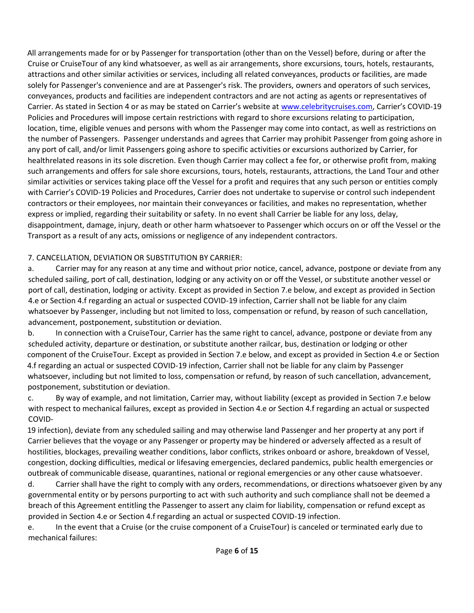All arrangements made for or by Passenger for transportation (other than on the Vessel) before, during or after the Cruise or CruiseTour of any kind whatsoever, as well as air arrangements, shore excursions, tours, hotels, restaurants, attractions and other similar activities or services, including all related conveyances, products or facilities, are made solely for Passenger's convenience and are at Passenger's risk. The providers, owners and operators of such services, conveyances, products and facilities are independent contractors and are not acting as agents or representatives of Carrier. As stated in Section 4 or as may be stated on Carrier's website at [www.celebritycruises.com](http://www.celebritycruises.com/)[,](http://www.royalcaribbean.com/) Carrier's COVID-19 Policies and Procedures will impose certain restrictions with regard to shore excursions relating to participation, location, time, eligible venues and persons with whom the Passenger may come into contact, as well as restrictions on the number of Passengers. Passenger understands and agrees that Carrier may prohibit Passenger from going ashore in any port of call, and/or limit Passengers going ashore to specific activities or excursions authorized by Carrier, for healthrelated reasons in its sole discretion. Even though Carrier may collect a fee for, or otherwise profit from, making such arrangements and offers for sale shore excursions, tours, hotels, restaurants, attractions, the Land Tour and other similar activities or services taking place off the Vessel for a profit and requires that any such person or entities comply with Carrier's COVID-19 Policies and Procedures, Carrier does not undertake to supervise or control such independent contractors or their employees, nor maintain their conveyances or facilities, and makes no representation, whether express or implied, regarding their suitability or safety. In no event shall Carrier be liable for any loss, delay, disappointment, damage, injury, death or other harm whatsoever to Passenger which occurs on or off the Vessel or the Transport as a result of any acts, omissions or negligence of any independent contractors.

# 7. CANCELLATION, DEVIATION OR SUBSTITUTION BY CARRIER:

a. Carrier may for any reason at any time and without prior notice, cancel, advance, postpone or deviate from any scheduled sailing, port of call, destination, lodging or any activity on or off the Vessel, or substitute another vessel or port of call, destination, lodging or activity. Except as provided in Section 7.e below, and except as provided in Section 4.e or Section 4.f regarding an actual or suspected COVID-19 infection, Carrier shall not be liable for any claim whatsoever by Passenger, including but not limited to loss, compensation or refund, by reason of such cancellation, advancement, postponement, substitution or deviation.

b. In connection with a CruiseTour, Carrier has the same right to cancel, advance, postpone or deviate from any scheduled activity, departure or destination, or substitute another railcar, bus, destination or lodging or other component of the CruiseTour. Except as provided in Section 7.e below, and except as provided in Section 4.e or Section 4.f regarding an actual or suspected COVID-19 infection, Carrier shall not be liable for any claim by Passenger whatsoever, including but not limited to loss, compensation or refund, by reason of such cancellation, advancement, postponement, substitution or deviation.

c. By way of example, and not limitation, Carrier may, without liability (except as provided in Section 7.e below with respect to mechanical failures, except as provided in Section 4.e or Section 4.f regarding an actual or suspected COVID-

19 infection), deviate from any scheduled sailing and may otherwise land Passenger and her property at any port if Carrier believes that the voyage or any Passenger or property may be hindered or adversely affected as a result of hostilities, blockages, prevailing weather conditions, labor conflicts, strikes onboard or ashore, breakdown of Vessel, congestion, docking difficulties, medical or lifesaving emergencies, declared pandemics, public health emergencies or outbreak of communicable disease, quarantines, national or regional emergencies or any other cause whatsoever.

d. Carrier shall have the right to comply with any orders, recommendations, or directions whatsoever given by any governmental entity or by persons purporting to act with such authority and such compliance shall not be deemed a breach of this Agreement entitling the Passenger to assert any claim for liability, compensation or refund except as provided in Section 4.e or Section 4.f regarding an actual or suspected COVID-19 infection.

e. In the event that a Cruise (or the cruise component of a CruiseTour) is canceled or terminated early due to mechanical failures: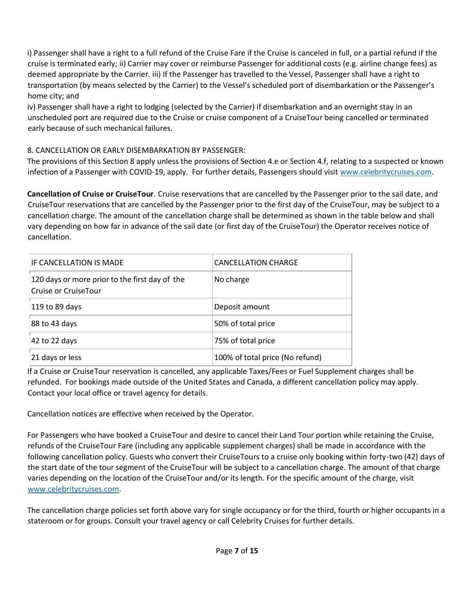i) Passenger shall have a right to a full refund of the Cruise Fare if the Cruise is canceled in full, or a partial refund if the cruise is terminated early; ii) Carrier may cover or reimburse Passenger for additional costs (e.g. airline change fees) as deemed appropriate by the Carrier. iii) If the Passenger has travelled to the Vessel, Passenger shall have a right to transportation (by means selected by the Carrier) to the Vessel's scheduled port of disembarkation or the Passenger's home city; and

iv) Passenger shall have a right to lodging (selected by the Carrier) if disembarkation and an overnight stay in an unscheduled port are required due to the Cruise or cruise component of a CruiseTour being cancelled or terminated early because of such mechanical failures.

# 8. CANCELLATION OR EARLY DISEMBARKATION BY PASSENGER:

The provisions of this Section 8 apply unless the provisions of Section 4.e or Section 4.f, relating to a suspected or known infection of a Passenger with COVID-19, apply. For further details, Passengers should visit [www.celebritycruises.com.](https://www.celebritycruises.com/content/dam/celebrity/pdf/cel-covid-19-cancellations-and-refunds-policy.pdf)

**Cancellation of Cruise or CruiseTour**. Cruise reservations that are cancelled by the Passenger prior to the sail date, and CruiseTour reservations that are cancelled by the Passenger prior to the first day of the CruiseTour, may be subject to a cancellation charge. The amount of the cancellation charge shall be determined as shown in the table below and shall vary depending on how far in advance of the sail date (or first day of the CruiseTour) the Operator receives notice of cancellation.

| IF CANCELLATION IS MADE                                                | <b>CANCELLATION CHARGE</b>      |
|------------------------------------------------------------------------|---------------------------------|
| 120 days or more prior to the first day of the<br>Cruise or CruiseTour | No charge                       |
| 119 to 89 days                                                         | Deposit amount                  |
| 88 to 43 days                                                          | 50% of total price              |
| 42 to 22 days                                                          | 75% of total price              |
| 21 days or less                                                        | 100% of total price (No refund) |

If a Cruise or CruiseTour reservation is cancelled, any applicable Taxes/Fees or Fuel Supplement charges shall be refunded. For bookings made outside of the United States and Canada, a different cancellation policy may apply. Contact your local office or travel agency for details.

Cancellation notices are effective when received by the Operator.

For Passengers who have booked a CruiseTour and desire to cancel their Land Tour portion while retaining the Cruise, refunds of the CruiseTour Fare (including any applicable supplement charges) shall be made in accordance with the following cancellation policy. Guests who convert their CruiseTours to a cruise only booking within forty-two (42) days of the start date of the tour segment of the CruiseTour will be subject to a cancellation charge. The amount of that charge varies depending on the location of the CruiseTour and/or its length. For the specific amount of the charge, visit [www.celebritycruises.com.](http://www.celebritycruises.com/)

The cancellation charge policies set forth above vary for single occupancy or for the third, fourth or higher occupants in a stateroom or for groups. Consult your travel agency or call Celebrity Cruises for further details.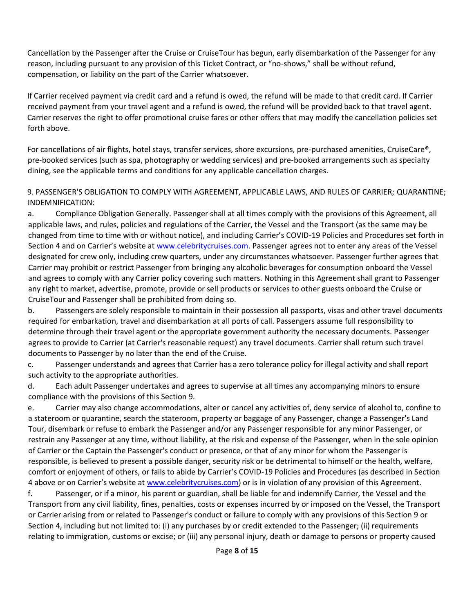Cancellation by the Passenger after the Cruise or CruiseTour has begun, early disembarkation of the Passenger for any reason, including pursuant to any provision of this Ticket Contract, or "no-shows," shall be without refund, compensation, or liability on the part of the Carrier whatsoever.

If Carrier received payment via credit card and a refund is owed, the refund will be made to that credit card. If Carrier received payment from your travel agent and a refund is owed, the refund will be provided back to that travel agent. Carrier reserves the right to offer promotional cruise fares or other offers that may modify the cancellation policies set forth above.

For cancellations of air flights, hotel stays, transfer services, shore excursions, pre-purchased amenities, CruiseCare®, pre-booked services (such as spa, photography or wedding services) and pre-booked arrangements such as specialty dining, see the applicable terms and conditions for any applicable cancellation charges.

9. PASSENGER'S OBLIGATION TO COMPLY WITH AGREEMENT, APPLICABLE LAWS, AND RULES OF CARRIER; QUARANTINE; INDEMNIFICATION:

a. Compliance Obligation Generally. Passenger shall at all times comply with the provisions of this Agreement, all applicable laws, and rules, policies and regulations of the Carrier, the Vessel and the Transport (as the same may be changed from time to time with or without notice), and including Carrier's COVID-19 Policies and Procedures set forth in Section 4 and on Carrier's website at [www.celebritycruises.com](http://www.celebritycruises.com/)[.](http://www.royalcaribbean.com/COVID) Passenger agrees not to enter any areas of the Vessel designated for crew only, including crew quarters, under any circumstances whatsoever. Passenger further agrees that Carrier may prohibit or restrict Passenger from bringing any alcoholic beverages for consumption onboard the Vessel and agrees to comply with any Carrier policy covering such matters. Nothing in this Agreement shall grant to Passenger any right to market, advertise, promote, provide or sell products or services to other guests onboard the Cruise or CruiseTour and Passenger shall be prohibited from doing so.

b. Passengers are solely responsible to maintain in their possession all passports, visas and other travel documents required for embarkation, travel and disembarkation at all ports of call. Passengers assume full responsibility to determine through their travel agent or the appropriate government authority the necessary documents. Passenger agrees to provide to Carrier (at Carrier's reasonable request) any travel documents. Carrier shall return such travel documents to Passenger by no later than the end of the Cruise.

c. Passenger understands and agrees that Carrier has a zero tolerance policy for illegal activity and shall report such activity to the appropriate authorities.

d. Each adult Passenger undertakes and agrees to supervise at all times any accompanying minors to ensure compliance with the provisions of this Section 9.

e. Carrier may also change accommodations, alter or cancel any activities of, deny service of alcohol to, confine to a stateroom or quarantine, search the stateroom, property or baggage of any Passenger, change a Passenger's Land Tour, disembark or refuse to embark the Passenger and/or any Passenger responsible for any minor Passenger, or restrain any Passenger at any time, without liability, at the risk and expense of the Passenger, when in the sole opinion of Carrier or the Captain the Passenger's conduct or presence, or that of any minor for whom the Passenger is responsible, is believed to present a possible danger, security risk or be detrimental to himself or the health, welfare, comfort or enjoyment of others, or fails to abide by Carrier's COVID-19 Policies and Procedures (as described in Section 4 above or on Carrier's website at [www.celebritycruises.com\)](http://www.celebritycruises.com/) or is in violation of any provision of this Agreement.

f. Passenger, or if a minor, his parent or guardian, shall be liable for and indemnify Carrier, the Vessel and the Transport from any civil liability, fines, penalties, costs or expenses incurred by or imposed on the Vessel, the Transport or Carrier arising from or related to Passenger's conduct or failure to comply with any provisions of this Section 9 or Section 4, including but not limited to: (i) any purchases by or credit extended to the Passenger; (ii) requirements relating to immigration, customs or excise; or (iii) any personal injury, death or damage to persons or property caused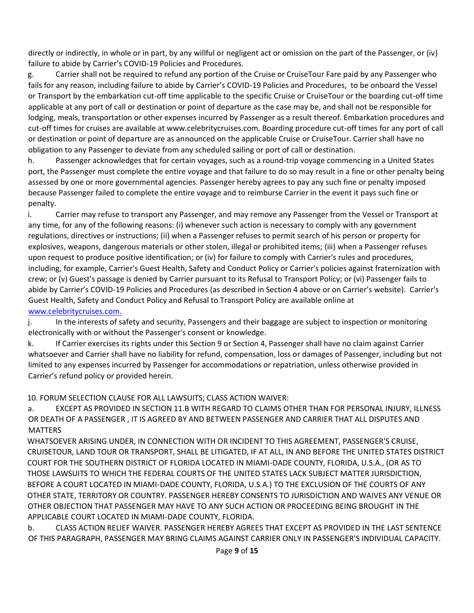directly or indirectly, in whole or in part, by any willful or negligent act or omission on the part of the Passenger, or (iv) failure to abide by Carrier's COVID-19 Policies and Procedures.

g. Carrier shall not be required to refund any portion of the Cruise or CruiseTour Fare paid by any Passenger who fails for any reason, including failure to abide by Carrier's COVID-19 Policies and Procedures, to be onboard the Vessel or Transport by the embarkation cut-off time applicable to the specific Cruise or CruiseTour or the boarding cut-off time applicable at any port of call or destination or point of departure as the case may be, and shall not be responsible for lodging, meals, transportation or other expenses incurred by Passenger as a result thereof. Embarkation procedures and cut-off times for cruises are available at www.celebritycruises.com. Boarding procedure cut-off times for any port of call or destination or point of departure are as announced on the applicable Cruise or CruiseTour. Carrier shall have no obligation to any Passenger to deviate from any scheduled sailing or port of call or destination.

h. Passenger acknowledges that for certain voyages, such as a round-trip voyage commencing in a United States port, the Passenger must complete the entire voyage and that failure to do so may result in a fine or other penalty being assessed by one or more governmental agencies. Passenger hereby agrees to pay any such fine or penalty imposed because Passenger failed to complete the entire voyage and to reimburse Carrier in the event it pays such fine or penalty.

i. Carrier may refuse to transport any Passenger, and may remove any Passenger from the Vessel or Transport at any time, for any of the following reasons: (i) whenever such action is necessary to comply with any government regulations, directives or instructions; (ii) when a Passenger refuses to permit search of his person or property for explosives, weapons, dangerous materials or other stolen, illegal or prohibited items; (iii) when a Passenger refuses upon request to produce positive identification; or (iv) for failure to comply with Carrier's rules and procedures, including, for example, Carrier's Guest Health, Safety and Conduct Policy or Carrier's policies against fraternization with crew; or (v) Guest's passage is denied by Carrier pursuant to its Refusal to Transport Policy; or (vi) Passenger fails to abide by Carrier's COVID-19 Policies and Procedures (as described in Section 4 above or on Carrier's website). Carrier's Guest Health, Safety and Conduct Policy and Refusal to Transport Policy are available online a[t](http://www.royalcaribbean.com/) [www.celebritycruises.com](http://www.celebritycruises.com/)[.](http://www.royalcaribbean.com/) 

j. In the interests of safety and security, Passengers and their baggage are subject to inspection or monitoring electronically with or without the Passenger's consent or knowledge.

k. If Carrier exercises its rights under this Section 9 or Section 4, Passenger shall have no claim against Carrier whatsoever and Carrier shall have no liability for refund, compensation, loss or damages of Passenger, including but not limited to any expenses incurred by Passenger for accommodations or repatriation, unless otherwise provided in Carrier's refund policy or provided herein.

#### 10. FORUM SELECTION CLAUSE FOR ALL LAWSUITS; CLASS ACTION WAIVER:

a. EXCEPT AS PROVIDED IN SECTION 11.B WITH REGARD TO CLAIMS OTHER THAN FOR PERSONAL INJURY, ILLNESS OR DEATH OF A PASSENGER , IT IS AGREED BY AND BETWEEN PASSENGER AND CARRIER THAT ALL DISPUTES AND MATTERS

WHATSOEVER ARISING UNDER, IN CONNECTION WITH OR INCIDENT TO THIS AGREEMENT, PASSENGER'S CRUISE, CRUISETOUR, LAND TOUR OR TRANSPORT, SHALL BE LITIGATED, IF AT ALL, IN AND BEFORE THE UNITED STATES DISTRICT COURT FOR THE SOUTHERN DISTRICT OF FLORIDA LOCATED IN MIAMI-DADE COUNTY, FLORIDA, U.S.A., (OR AS TO THOSE LAWSUITS TO WHICH THE FEDERAL COURTS OF THE UNITED STATES LACK SUBJECT MATTER JURISDICTION, BEFORE A COURT LOCATED IN MIAMI-DADE COUNTY, FLORIDA, U.S.A.) TO THE EXCLUSION OF THE COURTS OF ANY OTHER STATE, TERRITORY OR COUNTRY. PASSENGER HEREBY CONSENTS TO JURISDICTION AND WAIVES ANY VENUE OR OTHER OBJECTION THAT PASSENGER MAY HAVE TO ANY SUCH ACTION OR PROCEEDING BEING BROUGHT IN THE APPLICABLE COURT LOCATED IN MIAMI-DADE COUNTY, FLORIDA.

b. CLASS ACTION RELIEF WAIVER. PASSENGER HEREBY AGREES THAT EXCEPT AS PROVIDED IN THE LAST SENTENCE OF THIS PARAGRAPH, PASSENGER MAY BRING CLAIMS AGAINST CARRIER ONLY IN PASSENGER'S INDIVIDUAL CAPACITY.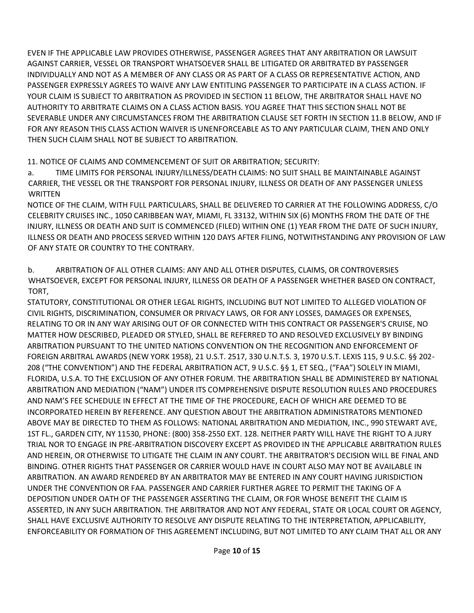EVEN IF THE APPLICABLE LAW PROVIDES OTHERWISE, PASSENGER AGREES THAT ANY ARBITRATION OR LAWSUIT AGAINST CARRIER, VESSEL OR TRANSPORT WHATSOEVER SHALL BE LITIGATED OR ARBITRATED BY PASSENGER INDIVIDUALLY AND NOT AS A MEMBER OF ANY CLASS OR AS PART OF A CLASS OR REPRESENTATIVE ACTION, AND PASSENGER EXPRESSLY AGREES TO WAIVE ANY LAW ENTITLING PASSENGER TO PARTICIPATE IN A CLASS ACTION. IF YOUR CLAIM IS SUBJECT TO ARBITRATION AS PROVIDED IN SECTION 11 BELOW, THE ARBITRATOR SHALL HAVE NO AUTHORITY TO ARBITRATE CLAIMS ON A CLASS ACTION BASIS. YOU AGREE THAT THIS SECTION SHALL NOT BE SEVERABLE UNDER ANY CIRCUMSTANCES FROM THE ARBITRATION CLAUSE SET FORTH IN SECTION 11.B BELOW, AND IF FOR ANY REASON THIS CLASS ACTION WAIVER IS UNENFORCEABLE AS TO ANY PARTICULAR CLAIM, THEN AND ONLY THEN SUCH CLAIM SHALL NOT BE SUBJECT TO ARBITRATION.

11. NOTICE OF CLAIMS AND COMMENCEMENT OF SUIT OR ARBITRATION; SECURITY:

a. TIME LIMITS FOR PERSONAL INJURY/ILLNESS/DEATH CLAIMS: NO SUIT SHALL BE MAINTAINABLE AGAINST CARRIER, THE VESSEL OR THE TRANSPORT FOR PERSONAL INJURY, ILLNESS OR DEATH OF ANY PASSENGER UNLESS **WRITTEN** 

NOTICE OF THE CLAIM, WITH FULL PARTICULARS, SHALL BE DELIVERED TO CARRIER AT THE FOLLOWING ADDRESS, C/O CELEBRITY CRUISES INC., 1050 CARIBBEAN WAY, MIAMI, FL 33132, WITHIN SIX (6) MONTHS FROM THE DATE OF THE INJURY, ILLNESS OR DEATH AND SUIT IS COMMENCED (FILED) WITHIN ONE (1) YEAR FROM THE DATE OF SUCH INJURY, ILLNESS OR DEATH AND PROCESS SERVED WITHIN 120 DAYS AFTER FILING, NOTWITHSTANDING ANY PROVISION OF LAW OF ANY STATE OR COUNTRY TO THE CONTRARY.

b. ARBITRATION OF ALL OTHER CLAIMS: ANY AND ALL OTHER DISPUTES, CLAIMS, OR CONTROVERSIES WHATSOEVER, EXCEPT FOR PERSONAL INJURY, ILLNESS OR DEATH OF A PASSENGER WHETHER BASED ON CONTRACT, TORT,

STATUTORY, CONSTITUTIONAL OR OTHER LEGAL RIGHTS, INCLUDING BUT NOT LIMITED TO ALLEGED VIOLATION OF CIVIL RIGHTS, DISCRIMINATION, CONSUMER OR PRIVACY LAWS, OR FOR ANY LOSSES, DAMAGES OR EXPENSES, RELATING TO OR IN ANY WAY ARISING OUT OF OR CONNECTED WITH THIS CONTRACT OR PASSENGER'S CRUISE, NO MATTER HOW DESCRIBED, PLEADED OR STYLED, SHALL BE REFERRED TO AND RESOLVED EXCLUSIVELY BY BINDING ARBITRATION PURSUANT TO THE UNITED NATIONS CONVENTION ON THE RECOGNITION AND ENFORCEMENT OF FOREIGN ARBITRAL AWARDS (NEW YORK 1958), 21 U.S.T. 2517, 330 U.N.T.S. 3, 1970 U.S.T. LEXIS 115, 9 U.S.C. §§ 202- 208 ("THE CONVENTION") AND THE FEDERAL ARBITRATION ACT, 9 U.S.C. §§ 1, ET SEQ., ("FAA") SOLELY IN MIAMI, FLORIDA, U.S.A. TO THE EXCLUSION OF ANY OTHER FORUM. THE ARBITRATION SHALL BE ADMINISTERED BY NATIONAL ARBITRATION AND MEDIATION ("NAM") UNDER ITS COMPREHENSIVE DISPUTE RESOLUTION RULES AND PROCEDURES AND NAM'S FEE SCHEDULE IN EFFECT AT THE TIME OF THE PROCEDURE, EACH OF WHICH ARE DEEMED TO BE INCORPORATED HEREIN BY REFERENCE. ANY QUESTION ABOUT THE ARBITRATION ADMINISTRATORS MENTIONED ABOVE MAY BE DIRECTED TO THEM AS FOLLOWS: NATIONAL ARBITRATION AND MEDIATION, INC., 990 STEWART AVE, 1ST FL., GARDEN CITY, NY 11530, PHONE: (800) 358-2550 EXT. 128. NEITHER PARTY WILL HAVE THE RIGHT TO A JURY TRIAL NOR TO ENGAGE IN PRE-ARBITRATION DISCOVERY EXCEPT AS PROVIDED IN THE APPLICABLE ARBITRATION RULES AND HEREIN, OR OTHERWISE TO LITIGATE THE CLAIM IN ANY COURT. THE ARBITRATOR'S DECISION WILL BE FINAL AND BINDING. OTHER RIGHTS THAT PASSENGER OR CARRIER WOULD HAVE IN COURT ALSO MAY NOT BE AVAILABLE IN ARBITRATION. AN AWARD RENDERED BY AN ARBITRATOR MAY BE ENTERED IN ANY COURT HAVING JURISDICTION UNDER THE CONVENTION OR FAA. PASSENGER AND CARRIER FURTHER AGREE TO PERMIT THE TAKING OF A DEPOSITION UNDER OATH OF THE PASSENGER ASSERTING THE CLAIM, OR FOR WHOSE BENEFIT THE CLAIM IS ASSERTED, IN ANY SUCH ARBITRATION. THE ARBITRATOR AND NOT ANY FEDERAL, STATE OR LOCAL COURT OR AGENCY, SHALL HAVE EXCLUSIVE AUTHORITY TO RESOLVE ANY DISPUTE RELATING TO THE INTERPRETATION, APPLICABILITY, ENFORCEABILITY OR FORMATION OF THIS AGREEMENT INCLUDING, BUT NOT LIMITED TO ANY CLAIM THAT ALL OR ANY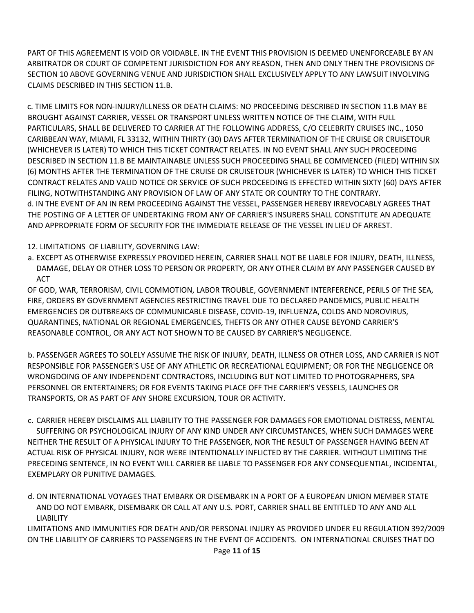PART OF THIS AGREEMENT IS VOID OR VOIDABLE. IN THE EVENT THIS PROVISION IS DEEMED UNENFORCEABLE BY AN ARBITRATOR OR COURT OF COMPETENT JURISDICTION FOR ANY REASON, THEN AND ONLY THEN THE PROVISIONS OF SECTION 10 ABOVE GOVERNING VENUE AND JURISDICTION SHALL EXCLUSIVELY APPLY TO ANY LAWSUIT INVOLVING CLAIMS DESCRIBED IN THIS SECTION 11.B.

c. TIME LIMITS FOR NON-INJURY/ILLNESS OR DEATH CLAIMS: NO PROCEEDING DESCRIBED IN SECTION 11.B MAY BE BROUGHT AGAINST CARRIER, VESSEL OR TRANSPORT UNLESS WRITTEN NOTICE OF THE CLAIM, WITH FULL PARTICULARS, SHALL BE DELIVERED TO CARRIER AT THE FOLLOWING ADDRESS, C/O CELEBRITY CRUISES INC., 1050 CARIBBEAN WAY, MIAMI, FL 33132, WITHIN THIRTY (30) DAYS AFTER TERMINATION OF THE CRUISE OR CRUISETOUR (WHICHEVER IS LATER) TO WHICH THIS TICKET CONTRACT RELATES. IN NO EVENT SHALL ANY SUCH PROCEEDING DESCRIBED IN SECTION 11.B BE MAINTAINABLE UNLESS SUCH PROCEEDING SHALL BE COMMENCED (FILED) WITHIN SIX (6) MONTHS AFTER THE TERMINATION OF THE CRUISE OR CRUISETOUR (WHICHEVER IS LATER) TO WHICH THIS TICKET CONTRACT RELATES AND VALID NOTICE OR SERVICE OF SUCH PROCEEDING IS EFFECTED WITHIN SIXTY (60) DAYS AFTER FILING, NOTWITHSTANDING ANY PROVISION OF LAW OF ANY STATE OR COUNTRY TO THE CONTRARY. d. IN THE EVENT OF AN IN REM PROCEEDING AGAINST THE VESSEL, PASSENGER HEREBY IRREVOCABLY AGREES THAT THE POSTING OF A LETTER OF UNDERTAKING FROM ANY OF CARRIER'S INSURERS SHALL CONSTITUTE AN ADEQUATE AND APPROPRIATE FORM OF SECURITY FOR THE IMMEDIATE RELEASE OF THE VESSEL IN LIEU OF ARREST.

#### 12. LIMITATIONS OF LIABILITY, GOVERNING LAW:

a. EXCEPT AS OTHERWISE EXPRESSLY PROVIDED HEREIN, CARRIER SHALL NOT BE LIABLE FOR INJURY, DEATH, ILLNESS, DAMAGE, DELAY OR OTHER LOSS TO PERSON OR PROPERTY, OR ANY OTHER CLAIM BY ANY PASSENGER CAUSED BY **ACT** 

OF GOD, WAR, TERRORISM, CIVIL COMMOTION, LABOR TROUBLE, GOVERNMENT INTERFERENCE, PERILS OF THE SEA, FIRE, ORDERS BY GOVERNMENT AGENCIES RESTRICTING TRAVEL DUE TO DECLARED PANDEMICS, PUBLIC HEALTH EMERGENCIES OR OUTBREAKS OF COMMUNICABLE DISEASE, COVID-19, INFLUENZA, COLDS AND NOROVIRUS, QUARANTINES, NATIONAL OR REGIONAL EMERGENCIES, THEFTS OR ANY OTHER CAUSE BEYOND CARRIER'S REASONABLE CONTROL, OR ANY ACT NOT SHOWN TO BE CAUSED BY CARRIER'S NEGLIGENCE.

b. PASSENGER AGREES TO SOLELY ASSUME THE RISK OF INJURY, DEATH, ILLNESS OR OTHER LOSS, AND CARRIER IS NOT RESPONSIBLE FOR PASSENGER'S USE OF ANY ATHLETIC OR RECREATIONAL EQUIPMENT; OR FOR THE NEGLIGENCE OR WRONGDOING OF ANY INDEPENDENT CONTRACTORS, INCLUDING BUT NOT LIMITED TO PHOTOGRAPHERS, SPA PERSONNEL OR ENTERTAINERS; OR FOR EVENTS TAKING PLACE OFF THE CARRIER'S VESSELS, LAUNCHES OR TRANSPORTS, OR AS PART OF ANY SHORE EXCURSION, TOUR OR ACTIVITY.

c. CARRIER HEREBY DISCLAIMS ALL LIABILITY TO THE PASSENGER FOR DAMAGES FOR EMOTIONAL DISTRESS, MENTAL SUFFERING OR PSYCHOLOGICAL INJURY OF ANY KIND UNDER ANY CIRCUMSTANCES, WHEN SUCH DAMAGES WERE NEITHER THE RESULT OF A PHYSICAL INJURY TO THE PASSENGER, NOR THE RESULT OF PASSENGER HAVING BEEN AT ACTUAL RISK OF PHYSICAL INJURY, NOR WERE INTENTIONALLY INFLICTED BY THE CARRIER. WITHOUT LIMITING THE PRECEDING SENTENCE, IN NO EVENT WILL CARRIER BE LIABLE TO PASSENGER FOR ANY CONSEQUENTIAL, INCIDENTAL, EXEMPLARY OR PUNITIVE DAMAGES.

d. ON INTERNATIONAL VOYAGES THAT EMBARK OR DISEMBARK IN A PORT OF A EUROPEAN UNION MEMBER STATE AND DO NOT EMBARK, DISEMBARK OR CALL AT ANY U.S. PORT, CARRIER SHALL BE ENTITLED TO ANY AND ALL LIABILITY

LIMITATIONS AND IMMUNITIES FOR DEATH AND/OR PERSONAL INJURY AS PROVIDED UNDER EU REGULATION 392/2009 ON THE LIABILITY OF CARRIERS TO PASSENGERS IN THE EVENT OF ACCIDENTS. ON INTERNATIONAL CRUISES THAT DO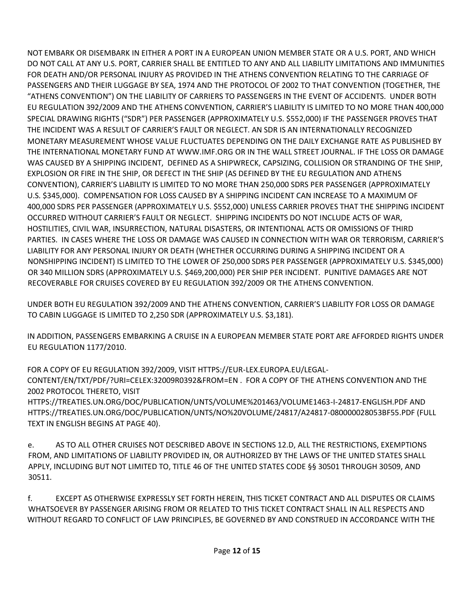NOT EMBARK OR DISEMBARK IN EITHER A PORT IN A EUROPEAN UNION MEMBER STATE OR A U.S. PORT, AND WHICH DO NOT CALL AT ANY U.S. PORT, CARRIER SHALL BE ENTITLED TO ANY AND ALL LIABILITY LIMITATIONS AND IMMUNITIES FOR DEATH AND/OR PERSONAL INJURY AS PROVIDED IN THE ATHENS CONVENTION RELATING TO THE CARRIAGE OF PASSENGERS AND THEIR LUGGAGE BY SEA, 1974 AND THE PROTOCOL OF 2002 TO THAT CONVENTION (TOGETHER, THE "ATHENS CONVENTION") ON THE LIABILITY OF CARRIERS TO PASSENGERS IN THE EVENT OF ACCIDENTS. UNDER BOTH EU REGULATION 392/2009 AND THE ATHENS CONVENTION, CARRIER'S LIABILITY IS LIMITED TO NO MORE THAN 400,000 SPECIAL DRAWING RIGHTS ("SDR") PER PASSENGER (APPROXIMATELY U.S. \$552,000) IF THE PASSENGER PROVES THAT THE INCIDENT WAS A RESULT OF CARRIER'S FAULT OR NEGLECT. AN SDR IS AN INTERNATIONALLY RECOGNIZED MONETARY MEASUREMENT WHOSE VALUE FLUCTUATES DEPENDING ON THE DAILY EXCHANGE RATE AS PUBLISHED BY THE INTERNATIONAL MONETARY FUND A[T WWW.IMF.ORG](http://www.imf.org/) OR IN THE WALL STREET JOURNAL. IF THE LOSS OR DAMAGE WAS CAUSED BY A SHIPPING INCIDENT, DEFINED AS A SHIPWRECK, CAPSIZING, COLLISION OR STRANDING OF THE SHIP, EXPLOSION OR FIRE IN THE SHIP, OR DEFECT IN THE SHIP (AS DEFINED BY THE EU REGULATION AND ATHENS CONVENTION), CARRIER'S LIABILITY IS LIMITED TO NO MORE THAN 250,000 SDRS PER PASSENGER (APPROXIMATELY U.S. \$345,000). COMPENSATION FOR LOSS CAUSED BY A SHIPPING INCIDENT CAN INCREASE TO A MAXIMUM OF 400,000 SDRS PER PASSENGER (APPROXIMATELY U.S. \$552,000) UNLESS CARRIER PROVES THAT THE SHIPPING INCIDENT OCCURRED WITHOUT CARRIER'S FAULT OR NEGLECT. SHIPPING INCIDENTS DO NOT INCLUDE ACTS OF WAR, HOSTILITIES, CIVIL WAR, INSURRECTION, NATURAL DISASTERS, OR INTENTIONAL ACTS OR OMISSIONS OF THIRD PARTIES. IN CASES WHERE THE LOSS OR DAMAGE WAS CAUSED IN CONNECTION WITH WAR OR TERRORISM, CARRIER'S LIABILITY FOR ANY PERSONAL INJURY OR DEATH (WHETHER OCCURRING DURING A SHIPPING INCIDENT OR A NONSHIPPING INCIDENT) IS LIMITED TO THE LOWER OF 250,000 SDRS PER PASSENGER (APPROXIMATELY U.S. \$345,000) OR 340 MILLION SDRS (APPROXIMATELY U.S. \$469,200,000) PER SHIP PER INCIDENT. PUNITIVE DAMAGES ARE NOT RECOVERABLE FOR CRUISES COVERED BY EU REGULATION 392/2009 OR THE ATHENS CONVENTION.

UNDER BOTH EU REGULATION 392/2009 AND THE ATHENS CONVENTION, CARRIER'S LIABILITY FOR LOSS OR DAMAGE TO CABIN LUGGAGE IS LIMITED TO 2,250 SDR (APPROXIMATELY U.S. \$3,181).

IN ADDITION, PASSENGERS EMBARKING A CRUISE IN A EUROPEAN MEMBER STATE PORT ARE AFFORDED RIGHTS UNDER EU REGULATION 1177/2010.

FOR A COPY OF EU REGULATION 392/2009, VISIT HTTPS://EUR-LEX.EUROPA.EU/LEGAL-CONTENT/EN/TXT/PDF/?URI=CELEX:32009R0392&FROM=EN . FOR A COPY OF THE ATHENS CONVENTION AND THE 2002 PROTOCOL THERETO, VISIT HTTPS://TREATIES.UN.ORG/DOC/PUBLICATION/UNTS/VOLUME%201463/VOLUME1463-I-24817-ENGLISH.PDF AND

HTTPS://TREATIES.UN.ORG/DOC/PUBLICATION/UNTS/NO%20VOLUME/24817/A24817-080000028053BF55.PDF (FULL TEXT IN ENGLISH BEGINS AT PAGE 40).

e. AS TO ALL OTHER CRUISES NOT DESCRIBED ABOVE IN SECTIONS 12.D, ALL THE RESTRICTIONS, EXEMPTIONS FROM, AND LIMITATIONS OF LIABILITY PROVIDED IN, OR AUTHORIZED BY THE LAWS OF THE UNITED STATES SHALL APPLY, INCLUDING BUT NOT LIMITED TO, TITLE 46 OF THE UNITED STATES CODE §§ 30501 THROUGH 30509, AND 30511.

f. EXCEPT AS OTHERWISE EXPRESSLY SET FORTH HEREIN, THIS TICKET CONTRACT AND ALL DISPUTES OR CLAIMS WHATSOEVER BY PASSENGER ARISING FROM OR RELATED TO THIS TICKET CONTRACT SHALL IN ALL RESPECTS AND WITHOUT REGARD TO CONFLICT OF LAW PRINCIPLES, BE GOVERNED BY AND CONSTRUED IN ACCORDANCE WITH THE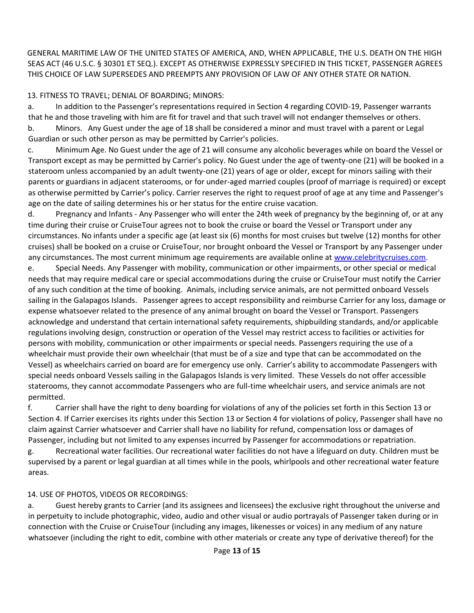GENERAL MARITIME LAW OF THE UNITED STATES OF AMERICA, AND, WHEN APPLICABLE, THE U.S. DEATH ON THE HIGH SEAS ACT (46 U.S.C. § 30301 ET SEQ.). EXCEPT AS OTHERWISE EXPRESSLY SPECIFIED IN THIS TICKET, PASSENGER AGREES THIS CHOICE OF LAW SUPERSEDES AND PREEMPTS ANY PROVISION OF LAW OF ANY OTHER STATE OR NATION.

### 13. FITNESS TO TRAVEL; DENIAL OF BOARDING; MINORS:

a. In addition to the Passenger's representations required in Section 4 regarding COVID-19, Passenger warrants that he and those traveling with him are fit for travel and that such travel will not endanger themselves or others. b. Minors. Any Guest under the age of 18 shall be considered a minor and must travel with a parent or Legal Guardian or such other person as may be permitted by Carrier's policies.

c. Minimum Age. No Guest under the age of 21 will consume any alcoholic beverages while on board the Vessel or Transport except as may be permitted by Carrier's policy. No Guest under the age of twenty-one (21) will be booked in a stateroom unless accompanied by an adult twenty-one (21) years of age or older, except for minors sailing with their parents or guardians in adjacent staterooms, or for under-aged married couples (proof of marriage is required) or except as otherwise permitted by Carrier's policy. Carrier reserves the right to request proof of age at any time and Passenger's age on the date of sailing determines his or her status for the entire cruise vacation.

d. Pregnancy and Infants - Any Passenger who will enter the 24th week of pregnancy by the beginning of, or at any time during their cruise or CruiseTour agrees not to book the cruise or board the Vessel or Transport under any circumstances. No infants under a specific age (at least six (6) months for most cruises but twelve (12) months for other cruises) shall be booked on a cruise or CruiseTour, nor brought onboard the Vessel or Transport by any Passenger under any circumstances. The most current minimum age requirements are available online a[t www.celebritycruises.com](http://www.celebritycruises.com/)[.](http://www.royalcaribbean.com/)

e. Special Needs. Any Passenger with mobility, communication or other impairments, or other special or medical needs that may require medical care or special accommodations during the cruise or CruiseTour must notify the Carrier of any such condition at the time of booking. Animals, including service animals, are not permitted onboard Vessels sailing in the Galapagos Islands. Passenger agrees to accept responsibility and reimburse Carrier for any loss, damage or expense whatsoever related to the presence of any animal brought on board the Vessel or Transport. Passengers acknowledge and understand that certain international safety requirements, shipbuilding standards, and/or applicable regulations involving design, construction or operation of the Vessel may restrict access to facilities or activities for persons with mobility, communication or other impairments or special needs. Passengers requiring the use of a wheelchair must provide their own wheelchair (that must be of a size and type that can be accommodated on the Vessel) as wheelchairs carried on board are for emergency use only. Carrier's ability to accommodate Passengers with special needs onboard Vessels sailing in the Galapagos Islands is very limited. These Vessels do not offer accessible staterooms, they cannot accommodate Passengers who are full-time wheelchair users, and service animals are not permitted.

f. Carrier shall have the right to deny boarding for violations of any of the policies set forth in this Section 13 or Section 4. If Carrier exercises its rights under this Section 13 or Section 4 for violations of policy, Passenger shall have no claim against Carrier whatsoever and Carrier shall have no liability for refund, compensation loss or damages of Passenger, including but not limited to any expenses incurred by Passenger for accommodations or repatriation.

g. Recreational water facilities. Our recreational water facilities do not have a lifeguard on duty. Children must be supervised by a parent or legal guardian at all times while in the pools, whirlpools and other recreational water feature areas.

#### 14. USE OF PHOTOS, VIDEOS OR RECORDINGS:

a. Guest hereby grants to Carrier (and its assignees and licensees) the exclusive right throughout the universe and in perpetuity to include photographic, video, audio and other visual or audio portrayals of Passenger taken during or in connection with the Cruise or CruiseTour (including any images, likenesses or voices) in any medium of any nature whatsoever (including the right to edit, combine with other materials or create any type of derivative thereof) for the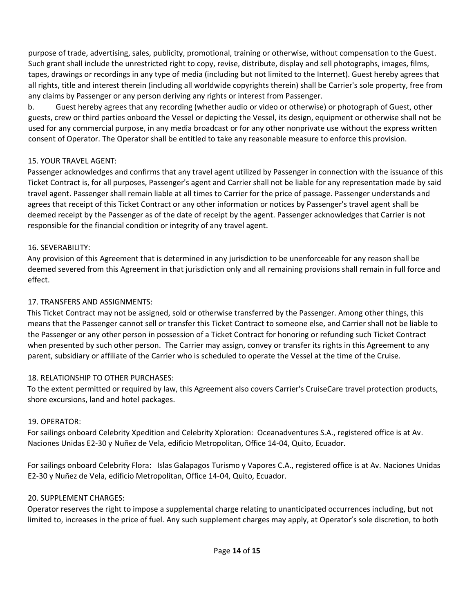purpose of trade, advertising, sales, publicity, promotional, training or otherwise, without compensation to the Guest. Such grant shall include the unrestricted right to copy, revise, distribute, display and sell photographs, images, films, tapes, drawings or recordings in any type of media (including but not limited to the Internet). Guest hereby agrees that all rights, title and interest therein (including all worldwide copyrights therein) shall be Carrier's sole property, free from any claims by Passenger or any person deriving any rights or interest from Passenger.

b. Guest hereby agrees that any recording (whether audio or video or otherwise) or photograph of Guest, other guests, crew or third parties onboard the Vessel or depicting the Vessel, its design, equipment or otherwise shall not be used for any commercial purpose, in any media broadcast or for any other nonprivate use without the express written consent of Operator. The Operator shall be entitled to take any reasonable measure to enforce this provision.

#### 15. YOUR TRAVEL AGENT:

Passenger acknowledges and confirms that any travel agent utilized by Passenger in connection with the issuance of this Ticket Contract is, for all purposes, Passenger's agent and Carrier shall not be liable for any representation made by said travel agent. Passenger shall remain liable at all times to Carrier for the price of passage. Passenger understands and agrees that receipt of this Ticket Contract or any other information or notices by Passenger's travel agent shall be deemed receipt by the Passenger as of the date of receipt by the agent. Passenger acknowledges that Carrier is not responsible for the financial condition or integrity of any travel agent.

#### 16. SEVERABILITY:

Any provision of this Agreement that is determined in any jurisdiction to be unenforceable for any reason shall be deemed severed from this Agreement in that jurisdiction only and all remaining provisions shall remain in full force and effect.

# 17. TRANSFERS AND ASSIGNMENTS:

This Ticket Contract may not be assigned, sold or otherwise transferred by the Passenger. Among other things, this means that the Passenger cannot sell or transfer this Ticket Contract to someone else, and Carrier shall not be liable to the Passenger or any other person in possession of a Ticket Contract for honoring or refunding such Ticket Contract when presented by such other person. The Carrier may assign, convey or transfer its rights in this Agreement to any parent, subsidiary or affiliate of the Carrier who is scheduled to operate the Vessel at the time of the Cruise.

# 18. RELATIONSHIP TO OTHER PURCHASES:

To the extent permitted or required by law, this Agreement also covers Carrier's CruiseCare travel protection products, shore excursions, land and hotel packages.

# 19. OPERATOR:

For sailings onboard Celebrity Xpedition and Celebrity Xploration: Oceanadventures S.A., registered office is at Av. Naciones Unidas E2-30 y Nuñez de Vela, edificio Metropolitan, Office 14-04, Quito, Ecuador.

For sailings onboard Celebrity Flora: Islas Galapagos Turismo y Vapores C.A., registered office is at Av. Naciones Unidas E2-30 y Nuñez de Vela, edificio Metropolitan, Office 14-04, Quito, Ecuador.

# 20. SUPPLEMENT CHARGES:

Operator reserves the right to impose a supplemental charge relating to unanticipated occurrences including, but not limited to, increases in the price of fuel. Any such supplement charges may apply, at Operator's sole discretion, to both